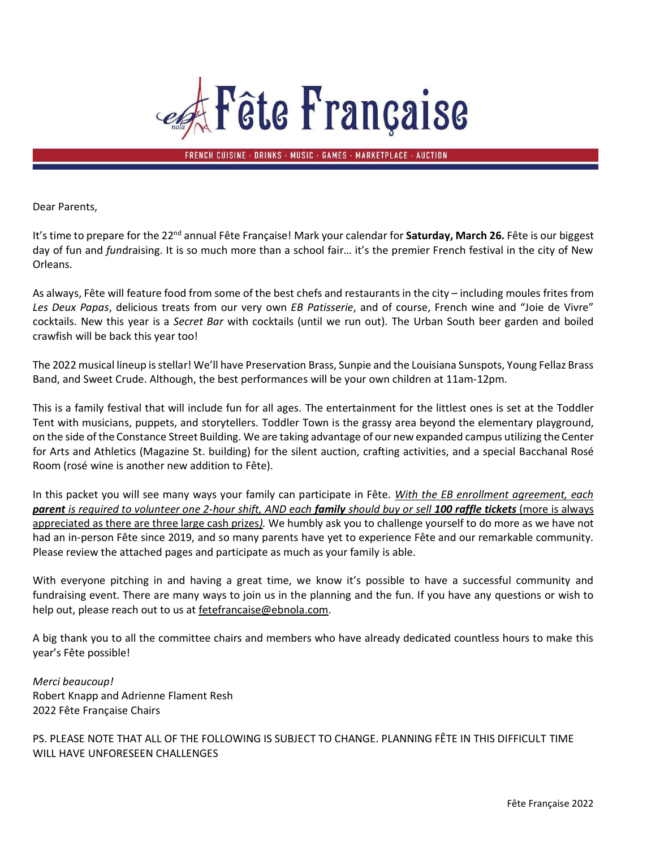

FRENCH CUISINE · DRINKS · MUSIC · GAMES · MARKETPLACE · AUCTION

Dear Parents,

It's time to prepare for the 22<sup>nd</sup> annual Fête Française! Mark your calendar for Saturday, March 26. Fête is our biggest day of fun and *fun*draising. It is so much more than a school fair… it's the premier French festival in the city of New Orleans.

As always, Fête will feature food from some of the best chefs and restaurants in the city – including moules frites from *Les Deux Papas*, delicious treats from our very own *EB Patisserie*, and of course, French wine and "Joie de Vivre" cocktails. New this year is a *Secret Bar* with cocktails (until we run out). The Urban South beer garden and boiled crawfish will be back this year too!

The 2022 musical lineup is stellar! We'll have Preservation Brass, Sunpie and the Louisiana Sunspots, Young Fellaz Brass Band, and Sweet Crude. Although, the best performances will be your own children at 11am-12pm.

This is a family festival that will include fun for all ages. The entertainment for the littlest ones is set at the Toddler Tent with musicians, puppets, and storytellers. Toddler Town is the grassy area beyond the elementary playground, on the side of the Constance Street Building. We are taking advantage of our new expanded campus utilizing the Center for Arts and Athletics (Magazine St. building) for the silent auction, crafting activities, and a special Bacchanal Rosé Room (rosé wine is another new addition to Fête).

In this packet you will see many ways your family can participate in Fête. *With the EB enrollment agreement, each parent is required to volunteer one 2-hour shift, AND each family should buy or sell 100 raffle tickets* (more is always appreciated as there are three large cash prizes*).* We humbly ask you to challenge yourself to do more as we have not had an in-person Fête since 2019, and so many parents have yet to experience Fête and our remarkable community. Please review the attached pages and participate as much as your family is able.

With everyone pitching in and having a great time, we know it's possible to have a successful community and fundraising event. There are many ways to join us in the planning and the fun. If you have any questions or wish to help out, please reach out to us at fetefrancaise@ebnola.com.

A big thank you to all the committee chairs and members who have already dedicated countless hours to make this year's Fête possible!

*Merci beaucoup!* Robert Knapp and Adrienne Flament Resh 2022 Fête Française Chairs

PS. PLEASE NOTE THAT ALL OF THE FOLLOWING IS SUBJECT TO CHANGE. PLANNING FÊTE IN THIS DIFFICULT TIME WILL HAVE UNFORESEEN CHALLENGES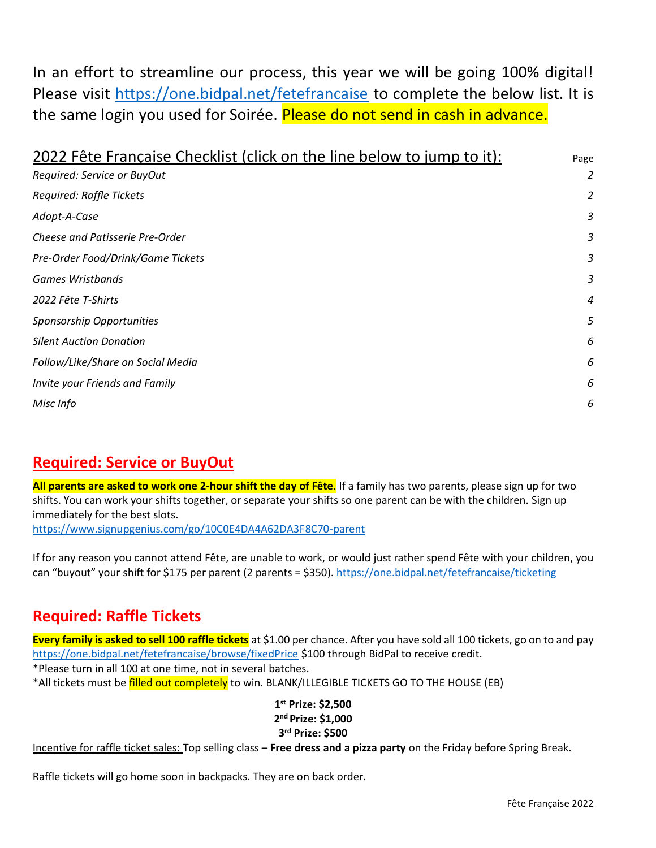In an effort to streamline our process, this year we will be going 100% digital! Please visit<https://one.bidpal.net/fetefrancaise> to complete the below list. It is the same login you used for Soirée. Please do not send in cash in advance.

| 2022 Fête Française Checklist (click on the line below to jump to it): |   |  |  |  |  |  |  |
|------------------------------------------------------------------------|---|--|--|--|--|--|--|
| Required: Service or BuyOut                                            | 2 |  |  |  |  |  |  |
| Required: Raffle Tickets                                               | 2 |  |  |  |  |  |  |
| Adopt-A-Case                                                           | 3 |  |  |  |  |  |  |
| Cheese and Patisserie Pre-Order                                        | 3 |  |  |  |  |  |  |
| Pre-Order Food/Drink/Game Tickets                                      | 3 |  |  |  |  |  |  |
| <b>Games Wristbands</b>                                                | 3 |  |  |  |  |  |  |
| 2022 Fête T-Shirts                                                     | 4 |  |  |  |  |  |  |
| Sponsorship Opportunities                                              | 5 |  |  |  |  |  |  |
| <b>Silent Auction Donation</b>                                         | 6 |  |  |  |  |  |  |
| Follow/Like/Share on Social Media                                      | 6 |  |  |  |  |  |  |
| Invite your Friends and Family                                         | 6 |  |  |  |  |  |  |
| Misc Info                                                              | 6 |  |  |  |  |  |  |
|                                                                        |   |  |  |  |  |  |  |

## <span id="page-1-0"></span>**Required: Service or BuyOut**

**All parents are asked to work one 2-hour shift the day of Fête.** If a family has two parents, please sign up for two shifts. You can work your shifts together, or separate your shifts so one parent can be with the children. Sign up immediately for the best slots.

<https://www.signupgenius.com/go/10C0E4DA4A62DA3F8C70-parent>

<span id="page-1-1"></span>If for any reason you cannot attend Fête, are unable to work, or would just rather spend Fête with your children, you can "buyout" your shift for \$175 per parent (2 parents = \$350).<https://one.bidpal.net/fetefrancaise/ticketing>

## **Required: Raffle Tickets**

**Every family is asked to sell 100 raffle tickets** at \$1.00 per chance. After you have sold all 100 tickets, go on to and pay <https://one.bidpal.net/fetefrancaise/browse/fixedPrice> \$100 through BidPal to receive credit. \*Please turn in all 100 at one time, not in several batches.

\*All tickets must be filled out completely to win. BLANK/ILLEGIBLE TICKETS GO TO THE HOUSE (EB)

**1 st Prize: \$2,500 2 nd Prize: \$1,000 3 rd Prize: \$500**

Incentive for raffle ticket sales: Top selling class – **Free dress and a pizza party** on the Friday before Spring Break.

Raffle tickets will go home soon in backpacks. They are on back order.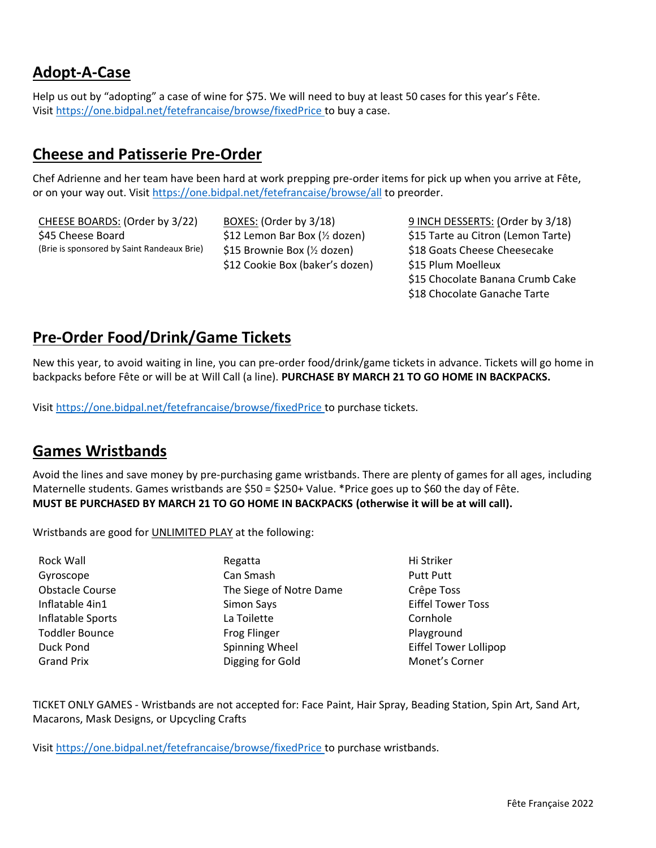## <span id="page-2-0"></span>**Adopt-A-Case**

<span id="page-2-1"></span>Help us out by "adopting" a case of wine for \$75. We will need to buy at least 50 cases for this year's Fête. Visit<https://one.bidpal.net/fetefrancaise/browse/fixedPrice> to buy a case.

#### **Cheese and Patisserie Pre-Order**

Chef Adrienne and her team have been hard at work prepping pre-order items for pick up when you arrive at Fête, or on your way out. Visit https://one.bidpal.net/fetefrancaise/browse/all to preorder.

\$45 Cheese Board \$12 Lemon Bar Box (½ dozen) \$15 Tarte au Citron (Lemon Tarte) (Brie is sponsored by Saint Randeaux Brie) \$15 Brownie Box (1/2 dozen) \$18 Goats Cheese Cheesecake

\$12 Cookie Box (baker's dozen) \$15 Plum Moelleux

CHEESE BOARDS: (Order by 3/22) BOXES: (Order by 3/18) 9 INCH DESSERTS: (Order by 3/18) \$15 Chocolate Banana Crumb Cake \$18 Chocolate Ganache Tarte

## <span id="page-2-2"></span>**Pre-Order Food/Drink/Game Tickets**

New this year, to avoid waiting in line, you can pre-order food/drink/game tickets in advance. Tickets will go home in backpacks before Fête or will be at Will Call (a line). **PURCHASE BY MARCH 21 TO GO HOME IN BACKPACKS.** 

<span id="page-2-3"></span>Visit<https://one.bidpal.net/fetefrancaise/browse/fixedPrice> to purchase tickets.

#### **Games Wristbands**

Avoid the lines and save money by pre-purchasing game wristbands. There are plenty of games for all ages, including Maternelle students. Games wristbands are \$50 = \$250+ Value. \*Price goes up to \$60 the day of Fête. **MUST BE PURCHASED BY MARCH 21 TO GO HOME IN BACKPACKS (otherwise it will be at will call).** 

Wristbands are good for **UNLIMITED PLAY** at the following:

Rock Wall **Regatta** Regatta **Hi Striker** Gyroscope **Can Smash Can Smash** Putt Putt Obstacle Course The Siege of Notre Dame Crêpe Toss Inflatable 4in1 Simon Says Eiffel Tower Toss Inflatable Sports **La Toilette** Cornhole Cornhole Toddler Bounce **From Blayground** Frog Flinger **Playground** Duck Pond **Spinning Wheel** Eiffel Tower Lollipop **Contains Example 2** Eiffel Tower Lollipop Grand Prix **Community Connect Connect** Digging for Gold **Monet's Corner** 

TICKET ONLY GAMES - Wristbands are not accepted for: Face Paint, Hair Spray, Beading Station, Spin Art, Sand Art, Macarons, Mask Designs, or Upcycling Crafts

Visit<https://one.bidpal.net/fetefrancaise/browse/fixedPrice> to purchase wristbands.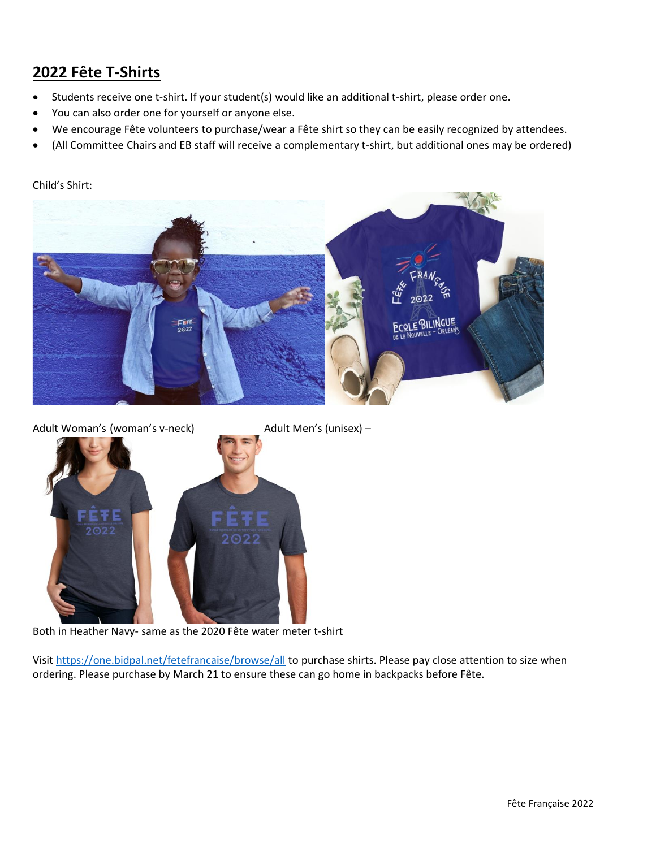# <span id="page-3-0"></span>**2022 Fête T-Shirts**

- Students receive one t-shirt. If your student(s) would like an additional t-shirt, please order one.
- You can also order one for yourself or anyone else.
- We encourage Fête volunteers to purchase/wear a Fête shirt so they can be easily recognized by attendees.
- (All Committee Chairs and EB staff will receive a complementary t-shirt, but additional ones may be ordered)

#### Child's Shirt:



Adult Woman's (woman's v-neck) Adult Men's (unisex) -



Both in Heather Navy- same as the 2020 Fête water meter t-shirt

Visit<https://one.bidpal.net/fetefrancaise/browse/all> to purchase shirts. Please pay close attention to size when ordering. Please purchase by March 21 to ensure these can go home in backpacks before Fête.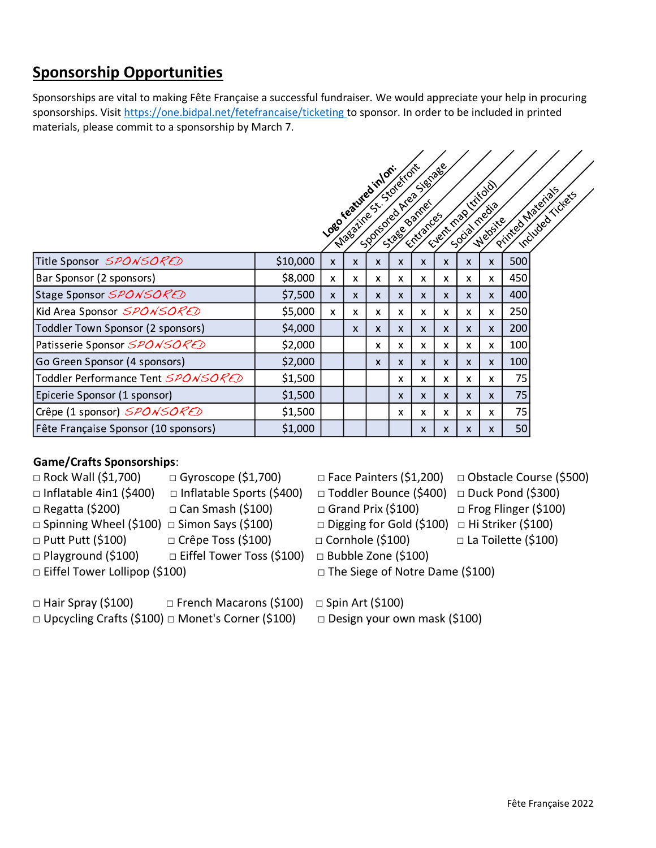# <span id="page-4-0"></span>**Sponsorship Opportunities**

Sponsorships are vital to making Fête Française a successful fundraiser. We would appreciate your help in procuring sponsorships. Visit<https://one.bidpal.net/fetefrancaise/ticketing> to sponsor. In order to be included in printed materials, please commit to a sponsorship by March 7.

|                                      |          |              |                           |                                                                       |                           |                           |            |                           | Irtifold                  |     |                                       |
|--------------------------------------|----------|--------------|---------------------------|-----------------------------------------------------------------------|---------------------------|---------------------------|------------|---------------------------|---------------------------|-----|---------------------------------------|
|                                      |          |              |                           | Loso reatured inlos<br>Nasatine St. Storeston<br>500moted Area Sienza |                           |                           | Event map1 |                           | Isoila Regia<br>Website   |     | Printed Materials<br>Included Tickets |
|                                      |          |              |                           |                                                                       |                           |                           |            |                           |                           |     |                                       |
| Title Sponsor SPONSORED              | \$10,000 | X            | X                         | X                                                                     | $\mathsf{x}$              | X                         | X          | $\boldsymbol{\mathsf{x}}$ | X                         | 500 |                                       |
| Bar Sponsor (2 sponsors)             | \$8,000  | X            | $\boldsymbol{\mathsf{X}}$ | X                                                                     | x                         | x                         | X          | $\boldsymbol{\mathsf{x}}$ | X                         | 450 |                                       |
| Stage Sponsor SPONSORED              | \$7,500  | $\mathsf{x}$ | $\mathsf{x}$              | X                                                                     | $\mathsf{x}$              | X                         | X          | $\boldsymbol{\mathsf{x}}$ | $\mathsf{x}$              | 400 |                                       |
| Kid Area Sponsor SPONSORED           | \$5,000  | X.           | X                         | x                                                                     | x                         | x                         | x          | $\boldsymbol{\mathsf{x}}$ | x                         | 250 |                                       |
| Toddler Town Sponsor (2 sponsors)    | \$4,000  |              | $\mathsf{X}$              | $\mathsf{x}$                                                          | $\mathsf{x}$              | X                         | X          | $\boldsymbol{\mathsf{X}}$ | $\mathsf{x}$              | 200 |                                       |
| Patisserie Sponsor SPONSORED         | \$2,000  |              |                           | x                                                                     | X                         | x                         | x          | $\boldsymbol{\mathsf{x}}$ | x                         | 100 |                                       |
| Go Green Sponsor (4 sponsors)        | \$2,000  |              |                           | $\mathsf{x}$                                                          | $\mathsf{x}$              | X                         | X          | $\boldsymbol{\mathsf{x}}$ | $\boldsymbol{\mathsf{x}}$ | 100 |                                       |
| Toddler Performance Tent SPONSORED   | \$1,500  |              |                           |                                                                       | x                         | x                         | x          | x                         | x                         | 75  |                                       |
| Epicerie Sponsor (1 sponsor)         | \$1,500  |              |                           |                                                                       | $\boldsymbol{\mathsf{x}}$ | $\boldsymbol{\mathsf{x}}$ | X          | $\boldsymbol{\mathsf{x}}$ | $\mathsf{x}$              | 75  |                                       |
| Crêpe (1 sponsor) SPONSORED          | \$1,500  |              |                           |                                                                       | x                         | x                         | X          | x                         | X                         | 75  |                                       |
| Fête Française Sponsor (10 sponsors) | \$1,000  |              |                           |                                                                       |                           | X                         | X          | x                         | X                         | 50  |                                       |

#### **Game/Crafts Sponsorships**:

- □ Rock Wall (\$1,700) □ Gyroscope (\$1,700) □ Face Painters (\$1,200) □ Obstacle Course (\$500) □ Inflatable 4in1 (\$400) □ Inflatable Sports (\$400) □ Toddler Bounce (\$400) □ Duck Pond (\$300) □ Regatta (\$200) □ Can Smash (\$100) □ Grand Prix (\$100) □ Frog Flinger (\$100) □ Spinning Wheel (\$100) □ Simon Says (\$100) □ Digging for Gold (\$100) □ Hi Striker (\$100) □ Putt Putt (\$100) □ Crêpe Toss (\$100) □ Cornhole (\$100) □ La Toilette (\$100) □ Playground (\$100) □ Eiffel Tower Toss (\$100) □ Bubble Zone (\$100) □ Eiffel Tower Lollipop (\$100) □ □ The Siege of Notre Dame (\$100)
- -
	- -
- -

- 
- 
- 

□ Hair Spray (\$100) □ French Macarons (\$100) □ Spin Art (\$100) □ Upcycling Crafts (\$100) □ Monet's Corner (\$100) □ Design your own mask (\$100)

- 
-